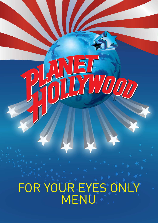